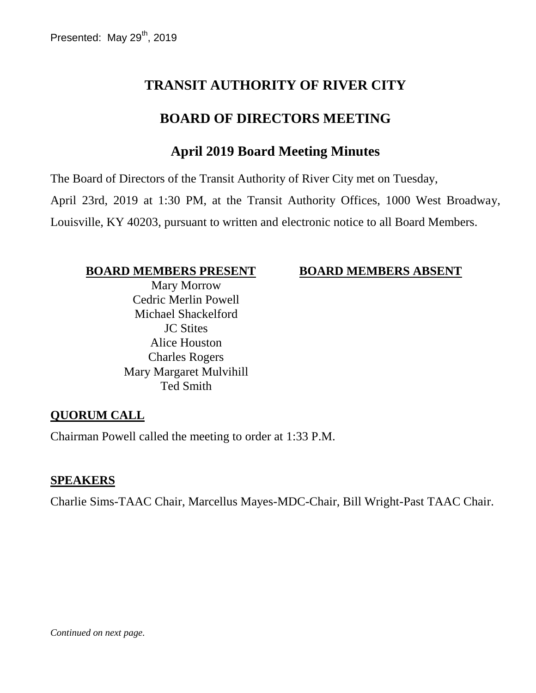# **TRANSIT AUTHORITY OF RIVER CITY**

## **BOARD OF DIRECTORS MEETING**

# **April 2019 Board Meeting Minutes**

The Board of Directors of the Transit Authority of River City met on Tuesday, April 23rd, 2019 at 1:30 PM, at the Transit Authority Offices, 1000 West Broadway, Louisville, KY 40203, pursuant to written and electronic notice to all Board Members.

#### **BOARD MEMBERS PRESENT BOARD MEMBERS ABSENT**

Mary Morrow Cedric Merlin Powell Michael Shackelford JC Stites Alice Houston Charles Rogers Mary Margaret Mulvihill Ted Smith

#### **QUORUM CALL**

Chairman Powell called the meeting to order at 1:33 P.M.

#### **SPEAKERS**

Charlie Sims-TAAC Chair, Marcellus Mayes-MDC-Chair, Bill Wright-Past TAAC Chair.

*Continued on next page.*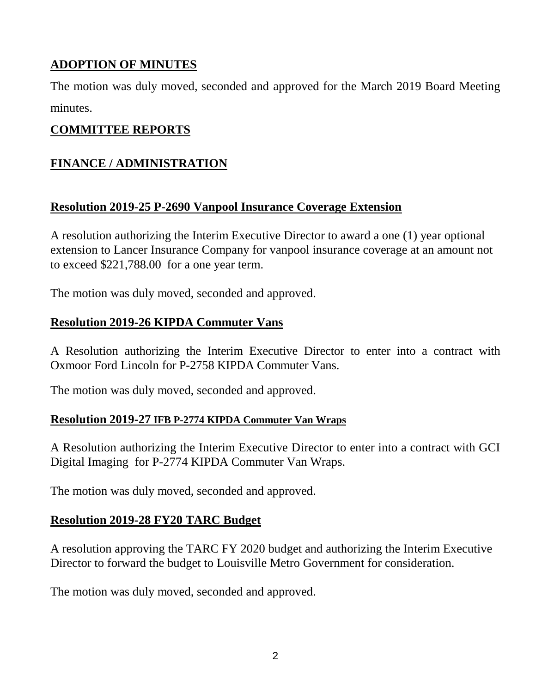## **ADOPTION OF MINUTES**

The motion was duly moved, seconded and approved for the March 2019 Board Meeting minutes.

#### **COMMITTEE REPORTS**

## **FINANCE / ADMINISTRATION**

#### **Resolution 2019-25 P-2690 Vanpool Insurance Coverage Extension**

A resolution authorizing the Interim Executive Director to award a one (1) year optional extension to Lancer Insurance Company for vanpool insurance coverage at an amount not to exceed \$221,788.00 for a one year term.

The motion was duly moved, seconded and approved.

### **Resolution 2019-26 KIPDA Commuter Vans**

A Resolution authorizing the Interim Executive Director to enter into a contract with Oxmoor Ford Lincoln for P-2758 KIPDA Commuter Vans.

The motion was duly moved, seconded and approved.

#### **Resolution 2019-27 IFB P-2774 KIPDA Commuter Van Wraps**

A Resolution authorizing the Interim Executive Director to enter into a contract with GCI Digital Imaging for P-2774 KIPDA Commuter Van Wraps.

The motion was duly moved, seconded and approved.

#### **Resolution 2019-28 FY20 TARC Budget**

A resolution approving the TARC FY 2020 budget and authorizing the Interim Executive Director to forward the budget to Louisville Metro Government for consideration.

The motion was duly moved, seconded and approved.